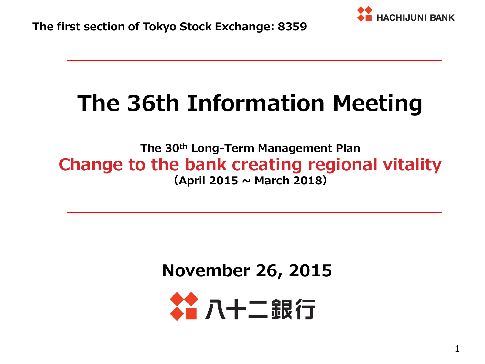

# **The 36th Information Meeting**

**The 30th Long-Term Management Plan Change to the bank creating regional vitality (April 2015 ~ March 2018)**

**November 26, 2015**

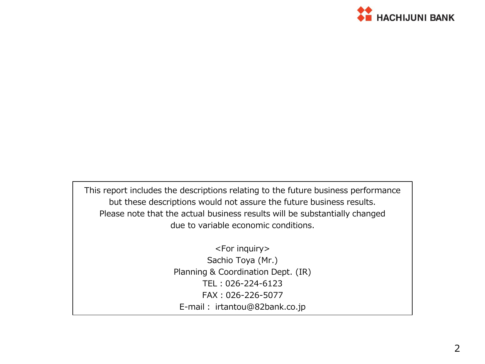

This report includes the descriptions relating to the future business performance but these descriptions would not assure the future business results. Please note that the actual business results will be substantially changed due to variable economic conditions.

> <For inquiry> Sachio Toya (Mr.) Planning & Coordination Dept. (IR) TEL:026-224-6123 FAX:026-226-5077 E-mail: irtantou@82bank.co.jp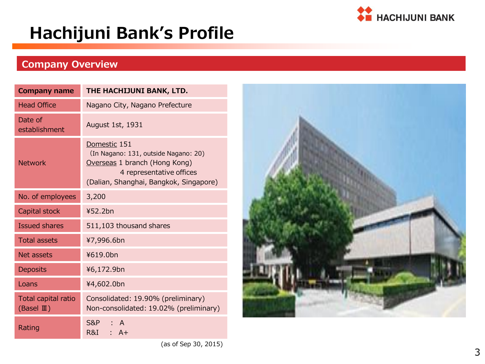

## **Hachijuni Bank's Profile**

### **Company Overview**

| <b>Company name</b>                         | THE HACHIJUNI BANK, LTD.                                                                                                                                    |  |  |  |  |  |  |  |  |
|---------------------------------------------|-------------------------------------------------------------------------------------------------------------------------------------------------------------|--|--|--|--|--|--|--|--|
| <b>Head Office</b>                          | Nagano City, Nagano Prefecture                                                                                                                              |  |  |  |  |  |  |  |  |
| Date of<br>establishment                    | August 1st, 1931                                                                                                                                            |  |  |  |  |  |  |  |  |
| <b>Network</b>                              | Domestic 151<br>(In Nagano: 131, outside Nagano: 20)<br>Overseas 1 branch (Hong Kong)<br>4 representative offices<br>(Dalian, Shanghai, Bangkok, Singapore) |  |  |  |  |  |  |  |  |
| No. of employees                            | 3,200                                                                                                                                                       |  |  |  |  |  |  |  |  |
| Capital stock                               | 452.2bn                                                                                                                                                     |  |  |  |  |  |  |  |  |
| <b>Issued shares</b>                        | 511,103 thousand shares                                                                                                                                     |  |  |  |  |  |  |  |  |
| <b>Total assets</b>                         | ¥7,996.6bn                                                                                                                                                  |  |  |  |  |  |  |  |  |
| <b>Net assets</b>                           | ¥619.0bn                                                                                                                                                    |  |  |  |  |  |  |  |  |
| Deposits                                    | ¥6,172.9bn                                                                                                                                                  |  |  |  |  |  |  |  |  |
| Loans                                       | ¥4,602.0bn                                                                                                                                                  |  |  |  |  |  |  |  |  |
| Total capital ratio<br>$(BaseI \mathbb{I})$ | Consolidated: 19.90% (preliminary)<br>Non-consolidated: 19.02% (preliminary)                                                                                |  |  |  |  |  |  |  |  |
| Rating                                      | S&P<br>$\Delta$<br>R&I<br>$A +$                                                                                                                             |  |  |  |  |  |  |  |  |



(as of Sep 30, 2015)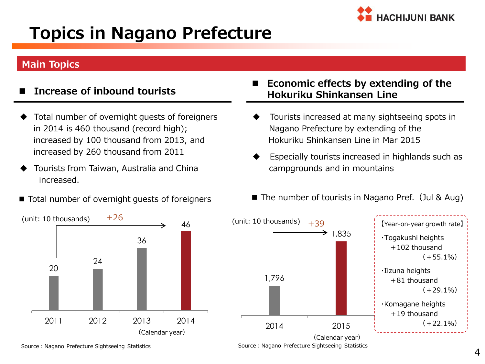

## **Topics in Nagano Prefecture**

#### **Main Topics**

- **Increase of inbound tourists**
- Total number of overnight guests of foreigners in 2014 is 460 thousand (record high); increased by 100 thousand from 2013, and increased by 260 thousand from 2011
- Tourists from Taiwan, Australia and China increased.
- 



#### **Economic effects by extending of the Hokuriku Shinkansen Line**

- Tourists increased at many sightseeing spots in Nagano Prefecture by extending of the Hokuriku Shinkansen Line in Mar 2015
- Especially tourists increased in highlands such as campgrounds and in mountains
- Total number of overnight guests of foreigners  $\Box$  The number of tourists in Nagano Pref. (Jul & Aug)



Source: Nagano Prefecture Sightseeing Statistics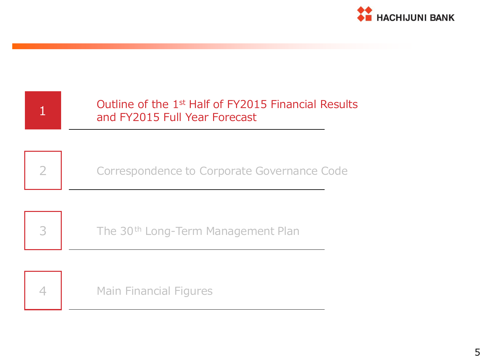

| Outline of the 1 <sup>st</sup> Half of FY2015 Financial Results<br>and FY2015 Full Year Forecast |
|--------------------------------------------------------------------------------------------------|
| Correspondence to Corporate Governance Code                                                      |
| The 30 <sup>th</sup> Long-Term Management Plan                                                   |
| <b>Main Financial Figures</b>                                                                    |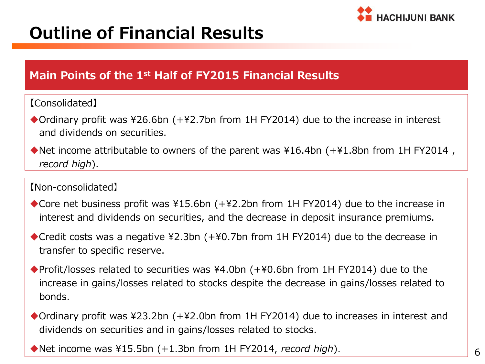

## **Outline of Financial Results**

### **Main Points of the 1st Half of FY2015 Financial Results**

#### 【Consolidated】

- ◆Ordinary profit was ¥26.6bn (+¥2.7bn from 1H FY2014) due to the increase in interest and dividends on securities.
- ◆Net income attributable to owners of the parent was ¥16.4bn (+¥1.8bn from 1H FY2014,  *record high*).

#### 【Non-consolidated】

- ◆ Core net business profit was ¥15.6bn (+¥2.2bn from 1H FY2014) due to the increase in interest and dividends on securities, and the decrease in deposit insurance premiums.
- ◆ Credit costs was a negative ¥2.3bn (+¥0.7bn from 1H FY2014) due to the decrease in transfer to specific reserve.
- ◆Profit/losses related to securities was ¥4.0bn (+¥0.6bn from 1H FY2014) due to the increase in gains/losses related to stocks despite the decrease in gains/losses related to bonds.
- ◆Ordinary profit was ¥23.2bn (+¥2.0bn from 1H FY2014) due to increases in interest and dividends on securities and in gains/losses related to stocks.

Net income was ¥15.5bn (+1.3bn from 1H FY2014, *record high*).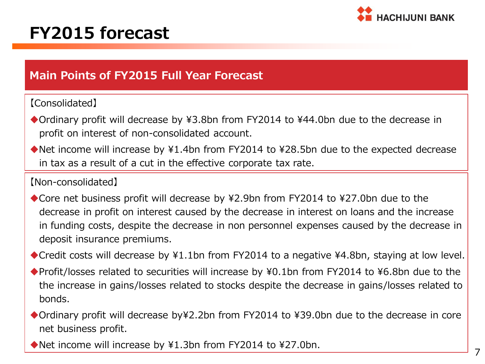

### **FY2015 forecast**

### **Main Points of FY2015 Full Year Forecast**

#### 【Consolidated】

- ◆Ordinary profit will decrease by ¥3.8bn from FY2014 to ¥44.0bn due to the decrease in profit on interest of non-consolidated account.
- Net income will increase by ¥1.4bn from FY2014 to ¥28.5bn due to the expected decrease in tax as a result of a cut in the effective corporate tax rate.

#### 【Non-consolidated】

- ◆ Core net business profit will decrease by ¥2.9bn from FY2014 to ¥27.0bn due to the decrease in profit on interest caused by the decrease in interest on loans and the increase in funding costs, despite the decrease in non personnel expenses caused by the decrease in deposit insurance premiums.
- ◆ Credit costs will decrease by ¥1.1bn from FY2014 to a negative ¥4.8bn, staying at low level.
- ◆ Profit/losses related to securities will increase by ¥0.1bn from FY2014 to ¥6.8bn due to the the increase in gains/losses related to stocks despite the decrease in gains/losses related to bonds.
- ◆ Ordinary profit will decrease by¥2.2bn from FY2014 to ¥39.0bn due to the decrease in core net business profit.
- ◆ Net income will increase by ¥1.3bn from FY2014 to ¥27.0bn.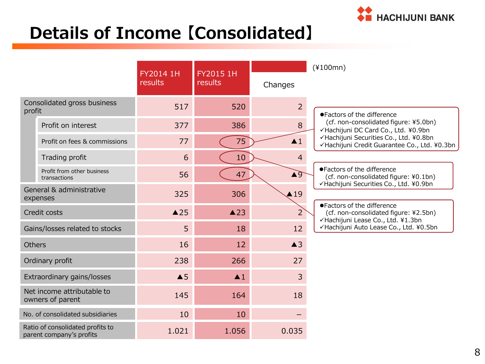

## **Details of Income 【Consolidated】**

|               |                                                              |                      | FY2015 1H          |                    | $(*100mn)$                                                                                                    |  |  |  |
|---------------|--------------------------------------------------------------|----------------------|--------------------|--------------------|---------------------------------------------------------------------------------------------------------------|--|--|--|
|               |                                                              | FY2014 1H<br>results | results<br>Changes |                    |                                                                                                               |  |  |  |
| profit        | Consolidated gross business                                  | 517                  | 520                | $\overline{2}$     | ●Factors of the difference                                                                                    |  |  |  |
|               | Profit on interest                                           | 377                  | 386                | 8                  | (cf. non-consolidated figure: ¥5.0bn)<br>√Hachijuni DC Card Co., Ltd. ¥0.9bn                                  |  |  |  |
|               | Profit on fees & commissions                                 | 77                   | 75                 | $\blacktriangle$ 1 | √Hachijuni Securities Co., Ltd. ¥0.8bn<br>√Hachijuni Credit Guarantee Co., Ltd. ¥0.3bn                        |  |  |  |
|               | Trading profit                                               | 6                    | 10                 | $\overline{4}$     |                                                                                                               |  |  |  |
|               | Profit from other business<br>transactions                   | 56                   | 47                 | $\triangle$ 9      | ●Factors of the difference<br>(cf. non-consolidated figure: ¥0.1bn)<br>√Hachijuni Securities Co., Ltd. ¥0.9bn |  |  |  |
|               | General & administrative<br>expenses                         | 325                  | 306                | $\triangle$ 19     |                                                                                                               |  |  |  |
|               | Credit costs                                                 | $\triangle$ 25       | $\triangle$ 23     | $\overline{2}$     | ●Factors of the difference<br>(cf. non-consolidated figure: ¥2.5bn)<br>√Hachijuni Lease Co., Ltd. ¥1.3bn      |  |  |  |
|               | Gains/losses related to stocks                               | 5                    | 18                 | 12                 | √Hachijuni Auto Lease Co., Ltd. ¥0.5bn                                                                        |  |  |  |
| <b>Others</b> |                                                              | 16                   | 12                 | $\triangle$ 3      |                                                                                                               |  |  |  |
|               | Ordinary profit                                              | 238                  | 266                | 27                 |                                                                                                               |  |  |  |
|               | Extraordinary gains/losses                                   | $\triangle$ 5        | $\blacktriangle$ 1 | 3                  |                                                                                                               |  |  |  |
|               | Net income attributable to<br>owners of parent               | 145                  | 164                | 18                 |                                                                                                               |  |  |  |
|               | No. of consolidated subsidiaries                             | 10                   | 10                 |                    |                                                                                                               |  |  |  |
|               | Ratio of consolidated profits to<br>parent company's profits | 1.021                | 1.056              | 0.035              |                                                                                                               |  |  |  |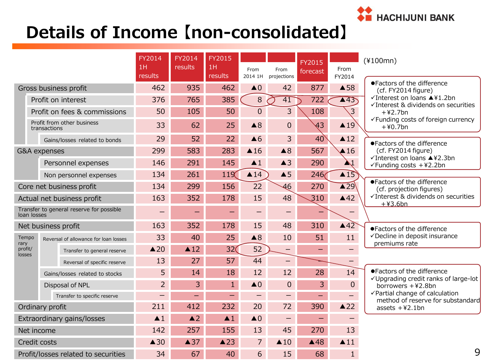

## **Details of Income 【non-consolidated】**

|                            |                         | FY2014<br>1H<br>results                  | FY2014<br>results  | FY2015<br>1H<br>results | From<br>2014 1H          | From<br>projections      | <b>FY2015</b><br>forecast | From<br>FY2014   | $(*100mn)$               |                                                                     |
|----------------------------|-------------------------|------------------------------------------|--------------------|-------------------------|--------------------------|--------------------------|---------------------------|------------------|--------------------------|---------------------------------------------------------------------|
|                            |                         | Gross business profit                    | 462                | 935                     | 462                      | $\triangle$ 0            | 42                        | 877              | $\triangle$ 58           | ●Factors of the difference<br>(cf. FY2014 figure)                   |
|                            |                         | Profit on interest                       | 376                | 765                     | 385                      | 8                        | $\overline{41}$           | 722              | $\sqrt{43}$              | √Interest on loans ▲¥1.2bn<br>√Interest & dividends on securities   |
|                            |                         | Profit on fees & commissions             | 50                 | 105                     | 50                       | $\Omega$                 | $\overline{3}$            | 108              | $\overline{3}$           | $+42.7$ bn                                                          |
|                            | transactions            | Profit from other business               | 33                 | 62                      | 25                       | $\triangle$ 8            | $\overline{0}$            | 43               | $\triangle 19$           | √Funding costs of foreign currency<br>$+40.7$ bn                    |
|                            |                         | Gains/losses related to bonds            | 29                 | 52                      | 22                       | $\triangle 6$            | 3                         | 40               | $\triangle$ 12           | ●Factors of the difference                                          |
|                            | <b>G&amp;A</b> expenses |                                          | 299                | 583                     | 283                      | $\triangle$ 16           | $\triangle 8$             | 567              | $\triangle$ 16           | (cf. FY2014 figure)                                                 |
|                            |                         | Personnel expenses                       | 146                | 291                     | 145                      | $\blacktriangle$ 1       | $\triangle$ 3             | 290              | $\mathbf{M}$             | √Interest on loans ▲¥2.3bn<br>$\checkmark$ Funding costs +¥2.2bn    |
|                            |                         | Non personnel expenses                   | 134                | 261                     | 119 <sup>′</sup>         | $\triangle$ 14           | $\triangle$ 5             | 246 <sub>0</sub> | $\triangle$ 15           |                                                                     |
|                            |                         | Core net business profit                 | 134                | 299                     | 156                      | 22                       | $\overline{46}$           | 270              | $\blacktriangle$ 29      | ●Factors of the difference<br>(cf. projection figures)              |
|                            |                         | Actual net business profit               | 163                | 352                     | 178                      | 15                       | 48                        | 310              | $\triangle$ 42           | √Interest & dividends on securities<br>$+43.6bn$                    |
| loan losses                |                         | Transfer to general reserve for possible |                    |                         |                          |                          |                           |                  |                          |                                                                     |
|                            |                         | Net business profit                      | 163                | 352                     | 178                      | 15                       | 48                        | 310              | $\triangle$ 42           | ●Factors of the difference                                          |
| Tempo<br>rary              |                         | Reversal of allowance for loan losses    | 33                 | 40                      | 25                       | $\triangle$ 8            | 10                        | 51               | 11                       | √Decline in deposit insurance<br>premiums rate                      |
| profit/<br>losses          |                         | Transfer to general reserve              | $\triangle 20$     | $\triangle$ 12          | 32<                      | 52                       | $\qquad \qquad -$         |                  |                          |                                                                     |
|                            |                         | Reversal of specific reserve             | 13                 | 27                      | 57                       | 44                       | $\qquad \qquad -$         |                  | $\overline{\phantom{0}}$ |                                                                     |
|                            |                         | Gains/losses related to stocks           | 5                  | 14                      | 18                       | 12                       | 12                        | 28               | 14                       | ●Factors of the difference<br>√Upgrading credit ranks of large-lot  |
|                            |                         | Disposal of NPL                          | $\overline{2}$     | 3                       | $\mathbf{1}$             | $\triangle$ <sup>0</sup> | $\mathbf 0$               | 3                | $\mathbf{0}$             | borrowers $+42.8$ bn                                                |
|                            |                         | Transfer to specific reserve             |                    |                         | $\qquad \qquad -$        |                          |                           |                  | $\equiv$                 | √Partial change of calculation<br>method of reserve for substandard |
| Ordinary profit            |                         | 211                                      | 412                | 232                     | 20                       | 72                       | 390                       | $\triangle$ 22   | assets $+42.1$ bn        |                                                                     |
| Extraordinary gains/losses |                         | $\blacktriangle$ 1                       | $\blacktriangle$ 2 | $\blacktriangle$ 1      | $\triangle$ <sup>0</sup> |                          |                           | —                |                          |                                                                     |
| Net income                 |                         | 142                                      | 257                | 155                     | 13                       | 45                       | 270                       | 13               |                          |                                                                     |
|                            | Credit costs            |                                          | $\triangle$ 30     | $\triangle$ 37          | $\triangle$ 23           | 7                        | $\triangle$ 10            | $\triangle$ 48   | $\blacktriangle$ 11      |                                                                     |
|                            |                         | Profit/losses related to securities      | 34                 | 67                      | 40                       | 6                        | 15                        | 68               | $\mathbf{1}$             | 9                                                                   |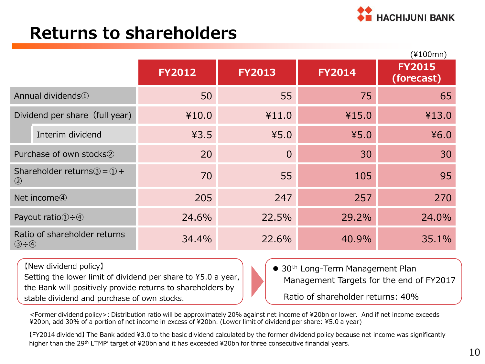

### **Returns to shareholders**

|                                |                                                           |               |                |               | $(*100mn)$                  |
|--------------------------------|-----------------------------------------------------------|---------------|----------------|---------------|-----------------------------|
|                                |                                                           | <b>FY2012</b> | <b>FY2013</b>  | <b>FY2014</b> | <b>FY2015</b><br>(forecast) |
|                                | Annual dividends <sup>1</sup>                             | 50            | 55             | 75            | 65                          |
|                                | Dividend per share (full year)                            | ¥10.0         | ¥11.0          | ¥15.0         | ¥13.0                       |
|                                | Interim dividend                                          | 43.5          | 45.0           | 45.0          | 46.0                        |
|                                | Purchase of own stocks2                                   | 20            | $\overline{0}$ | 30            | 30                          |
| $\circled{2}$                  | Shareholder returns $\textcircled{3} = \textcircled{1}$ + | 70            | 55             | 105           | 95                          |
|                                | Net income <sup>4</sup>                                   | 205           | 247            | 257           | 270                         |
|                                | Payout ratio $\textcircled{1} \div \textcircled{4}$       | 24.6%         | 22.5%          | 29.2%         | 24.0%                       |
| $\circled{3} \div \circled{4}$ | Ratio of shareholder returns                              | 34.4%         | 22.6%          | 40.9%         | 35.1%                       |

【New dividend policy】

Setting the lower limit of dividend per share to ¥5.0 a year, the Bank will positively provide returns to shareholders by stable dividend and purchase of own stocks.

● 30<sup>th</sup> Long-Term Management Plan Management Targets for the end of FY2017 Ratio of shareholder returns: 40%

<Former dividend policy>: Distribution ratio will be approximately 20% against net income of ¥20bn or lower. And if net income exceeds ¥20bn, add 30% of a portion of net income in excess of ¥20bn. (Lower limit of dividend per share: ¥5.0 a year)

【FY2014 dividend】 The Bank added ¥3.0 to the basic dividend calculated by the former dividend policy because net income was significantly higher than the 29<sup>th</sup> LTMP' target of ¥20bn and it has exceeded ¥20bn for three consecutive financial years.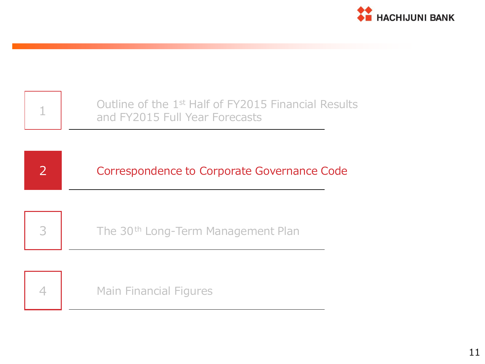

|                | Outline of the 1 <sup>st</sup> Half of FY2015 Financial Results<br>and FY2015 Full Year Forecasts |
|----------------|---------------------------------------------------------------------------------------------------|
| $\overline{2}$ | Correspondence to Corporate Governance Code                                                       |
| 3              | The 30 <sup>th</sup> Long-Term Management Plan                                                    |
|                | <b>Main Financial Figures</b>                                                                     |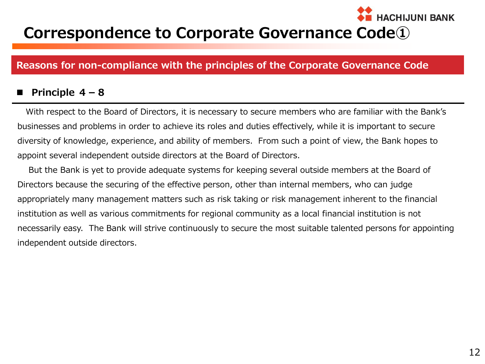### **Correspondence to Corporate Governance Code①**

#### **Reasons for non-compliance with the principles of the Corporate Governance Code**

#### **Principle 4-8**

With respect to the Board of Directors, it is necessary to secure members who are familiar with the Bank's businesses and problems in order to achieve its roles and duties effectively, while it is important to secure diversity of knowledge, experience, and ability of members. From such a point of view, the Bank hopes to appoint several independent outside directors at the Board of Directors.

 But the Bank is yet to provide adequate systems for keeping several outside members at the Board of Directors because the securing of the effective person, other than internal members, who can judge appropriately many management matters such as risk taking or risk management inherent to the financial institution as well as various commitments for regional community as a local financial institution is not necessarily easy. The Bank will strive continuously to secure the most suitable talented persons for appointing independent outside directors.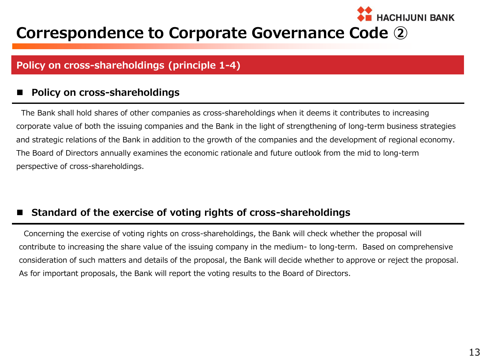### **Correspondence to Corporate Governance Code ②**

#### **Policy on cross-shareholdings (principle 1-4)**

#### **Policy on cross-shareholdings**

The Bank shall hold shares of other companies as cross-shareholdings when it deems it contributes to increasing corporate value of both the issuing companies and the Bank in the light of strengthening of long-term business strategies and strategic relations of the Bank in addition to the growth of the companies and the development of regional economy. The Board of Directors annually examines the economic rationale and future outlook from the mid to long-term perspective of cross-shareholdings.

#### **Standard of the exercise of voting rights of cross-shareholdings**

Concerning the exercise of voting rights on cross-shareholdings, the Bank will check whether the proposal will contribute to increasing the share value of the issuing company in the medium- to long-term. Based on comprehensive consideration of such matters and details of the proposal, the Bank will decide whether to approve or reject the proposal. As for important proposals, the Bank will report the voting results to the Board of Directors.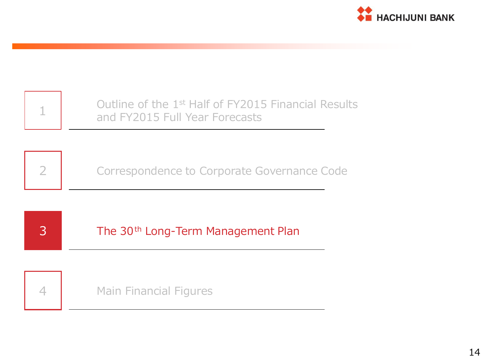

|   | Outline of the 1 <sup>st</sup> Half of FY2015 Financial Results<br>and FY2015 Full Year Forecasts |
|---|---------------------------------------------------------------------------------------------------|
|   |                                                                                                   |
|   | Correspondence to Corporate Governance Code                                                       |
|   |                                                                                                   |
|   |                                                                                                   |
| 3 | The 30 <sup>th</sup> Long-Term Management Plan                                                    |
|   |                                                                                                   |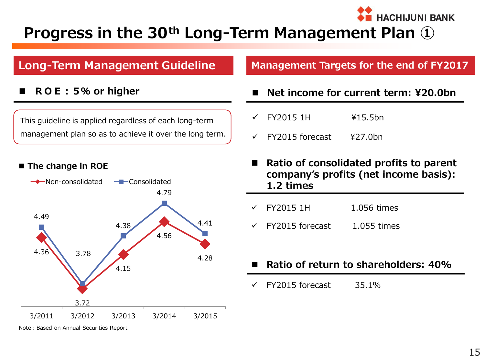## **Progress in the 30th Long-Term Management Plan ①**

### **Long-Term Management Guideline**

**ROE:5% or higher**

This guideline is applied regardless of each long-term management plan so as to achieve it over the long term.

#### ■ The change in ROE



Note: Based on Annual Securities Report

#### **Management Targets for the end of FY2017**

- **Net income for current term: ¥20.0bn**
- $\sqrt{}$  FY2015 1H  $\frac{1}{2}$  +15.5bn
- $\checkmark$  FY2015 forecast  $\checkmark$  ¥27.0bn
- **Ratio of consolidated profits to parent company's profits (net income basis): 1.2 times**
- FY2015 1H 1.056 times
- $\checkmark$  FY2015 forecast 1.055 times
- **Ratio of return to shareholders: 40%**
- $\checkmark$  FY2015 forecast 35.1%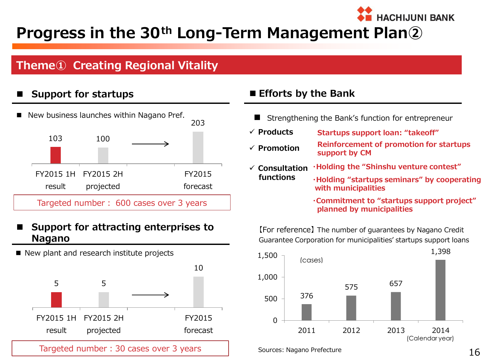### **Progress in the 30th Long-Term Management Plan②**

### **Theme① Creating Regional Vitality**

#### **Support for startups**



#### **Support for attracting enterprises to Nagano**

New plant and research institute projects



#### **Efforts by the Bank**

- Strengthening the Bank's function for entrepreneur
- **Products Startups support loan: "takeoff"**
- **Promotion Reinforcement of promotion for startups support by CM**
- **Consultation functions ・Holding the "Shinshu venture contest" ・Holding "startups seminars" by cooperating**
	- **with municipalities**

**・Commitment to "startups support project" planned by municipalities**

**HACHIJUNI BANK** 

【For reference】 The number of guarantees by Nagano Credit Guarantee Corporation for municipalities' startups support loans



Sources: Nagano Prefecture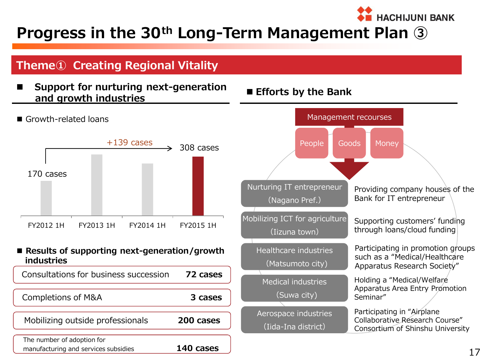### **Progress in the 30th Long-Term Management Plan ③**

### **Theme① Creating Regional Vitality**

 **Support for nurturing next-generation and growth industries Efforts by the Bank**



Growth-related loans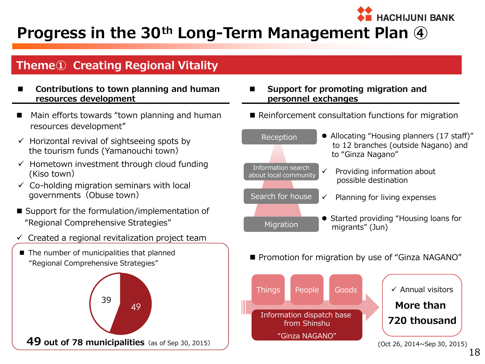## **Progress in the 30th Long-Term Management Plan ④**

### **Theme① Creating Regional Vitality**

- **Contributions to town planning and human resources development**
- Main efforts towards "town planning and human resources development"
- $\checkmark$  Horizontal revival of sightseeing spots by the tourism funds (Yamanouchi town)
- $\checkmark$  Hometown investment through cloud funding (Kiso town)
- $\checkmark$  Co-holding migration seminars with local governments (Obuse town)
- Support for the formulation/implementation of "Regional Comprehensive Strategies"
- $\checkmark$  Created a regional revitalization project team
- The number of municipalities that planned "Regional Comprehensive Strategies"



#### **Support for promoting migration and personnel exchanges**

Reinforcement consultation functions for migration

**HACHIJUNI BANK** 



**Promotion for migration by use of "Ginza NAGANO"** 

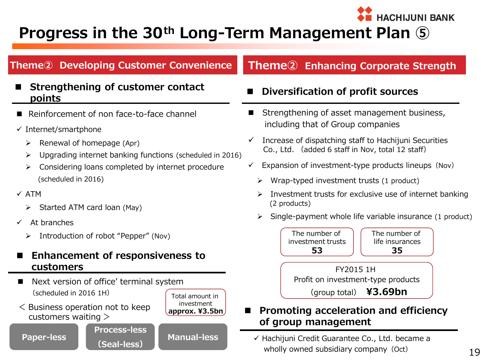## **Progress in the 30th Long-Term Management Plan ⑤**

### **Theme② Developing Customer Convenience**

#### **Strengthening of customer contact points**

- Reinforcement of non face-to-face channel
- $\checkmark$  Internet/smartphone
	- $\triangleright$  Renewal of homepage (Apr)
	- $\triangleright$  Upgrading internet banking functions (scheduled in 2016)
	- Considering loans completed by internet procedure (scheduled in 2016)
- $\times$  ATM
	- $\triangleright$  Started ATM card loan (May)
- $\checkmark$  At branches

**Paper-less**

> Introduction of robot "Pepper" (Nov)

#### **Enhancement of responsiveness to customers**

**Process-less**

**(Seal-less)**

- Next version of office' terminal system (scheduled in 2016 1H)
- < Business operation not to keep customers waiting >



### **Theme② Enhancing Corporate Strength**

**HACHIJUNI BANK** 

#### **Diversification of profit sources**

- Strengthening of asset management business, including that of Group companies
- $\checkmark$  Increase of dispatching staff to Hachijuni Securities Co., Ltd. (added 6 staff in Nov, total 12 staff)
- $\checkmark$  Expansion of investment-type products lineups (Nov)
	- $\triangleright$  Wrap-typed investment trusts (1 product)
	- Investment trusts for exclusive use of internet banking (2 products)
	- Single-payment whole life variable insurance (1 product)

FY2015 1H Profit on investment-type products (group total) **¥3.69bn** Total amount in The number of investment trusts **53** The number of life insurances **35**

#### **Promoting acceleration and efficiency of group management**

**Manual-less** Hachijuni Credit Guarantee Co., Ltd. became a wholly owned subsidiary company (Oct)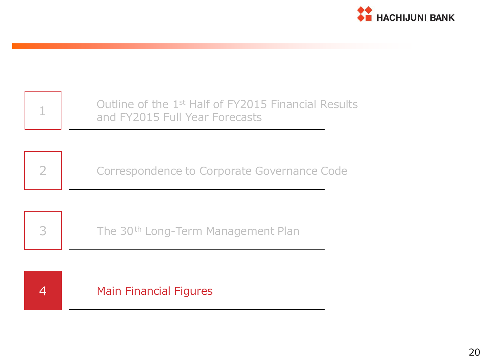

|   | Outline of the 1 <sup>st</sup> Half of FY2015 Financial Results<br>and FY2015 Full Year Forecasts |
|---|---------------------------------------------------------------------------------------------------|
|   |                                                                                                   |
| 2 | Correspondence to Corporate Governance Code                                                       |
|   |                                                                                                   |
| 3 | The 30 <sup>th</sup> Long-Term Management Plan                                                    |
|   |                                                                                                   |
|   | <b>Main Financial Figures</b>                                                                     |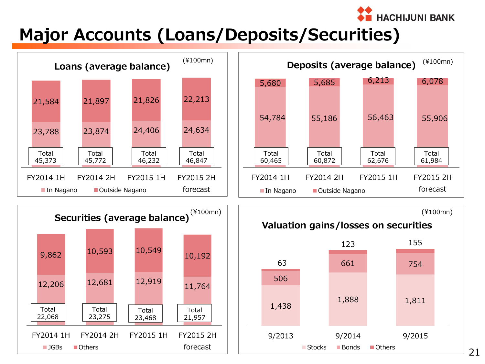

## **Major Accounts (Loans/Deposits/Securities)**

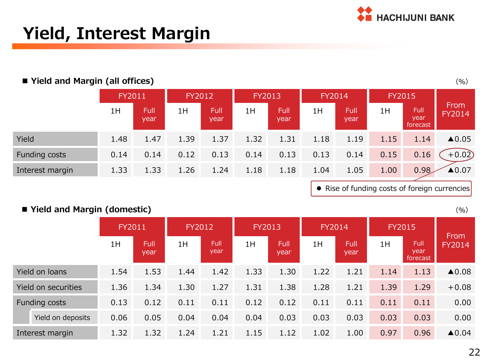

## **Yield, Interest Margin**

#### **Yield and Margin (all offices)**

|                 | <b>FY2011</b> |                     | FY2012 |                     | <b>FY2013</b> |              | <b>FY2014</b> |              | <b>FY2015</b> |                          |                       |
|-----------------|---------------|---------------------|--------|---------------------|---------------|--------------|---------------|--------------|---------------|--------------------------|-----------------------|
|                 | 1H            | <b>Full</b><br>year | 1H     | <b>Full</b><br>year | 1H            | Full<br>year | 1H            | Full<br>year | 1H            | Full<br>year<br>forecast | From<br><b>FY2014</b> |
| Yield           | 1.48          | 1.47                | 1.39   | 1.37                | 1.32          | 1.31         | 1.18          | 1.19         | 1.15          | 1.14                     | $\triangle$ 0.05      |
| Funding costs   | 0.14          | 0.14                | 0.12   | 0.13                | 0.14          | 0.13         | 0.13          | 0.14         | 0.15          | 0.16                     | $+0.02$               |
| Interest margin | 1.33          | 1.33                | 1.26   | 1.24                | 1.18          | 1.18         | 1.04          | 1.05         | 1.00          | 0.98                     | ▲0.07                 |

• Rise of funding costs of foreign currencies

#### **Yield and Margin (domestic)**

|                     | FY2011 |              | FY2012 |                     | <b>FY2013</b> |              | FY2014 |              | <b>FY2015</b> |                          |                       |
|---------------------|--------|--------------|--------|---------------------|---------------|--------------|--------|--------------|---------------|--------------------------|-----------------------|
|                     | 1H     | Full<br>year | 1H     | <b>Full</b><br>year | 1H            | Full<br>year | 1H     | Full<br>year | 1H            | Full<br>year<br>forecast | From<br>FY2014        |
| Yield on loans      | 1.54   | 1.53         | 1.44   | 1.42                | 1.33          | 1.30         | 1.22   | 1.21         | 1.14          | 1.13                     | $\blacktriangle 0.08$ |
| Yield on securities | 1.36   | 1.34         | 1.30   | 1.27                | 1.31          | 1.38         | 1.28   | 1.21         | 1.39          | 1.29                     | $+0.08$               |
| Funding costs       | 0.13   | 0.12         | 0.11   | 0.11                | 0.12          | 0.12         | 0.11   | 0.11         | 0.11          | 0.11                     | 0.00                  |
| Yield on deposits   | 0.06   | 0.05         | 0.04   | 0.04                | 0.04          | 0.03         | 0.03   | 0.03         | 0.03          | 0.03                     | 0.00                  |
| Interest margin     | 1.32   | 1.32         | 1.24   | 1.21                | 1.15          | 1.12         | 1.02   | 1.00         | 0.97          | 0.96                     | $\triangle$ 0.04      |

 $(9/6)$ 

 $(9/6)$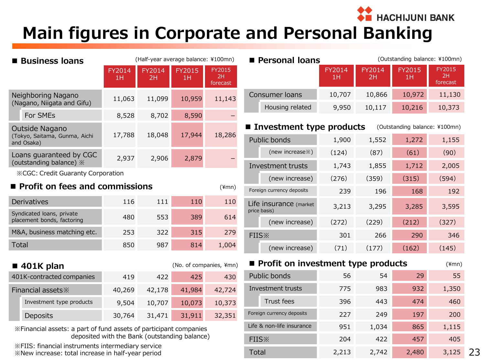**THACHIJUNI BANK** 

Total 2,213 2,742 2,480 3,125

## **Main figures in Corporate and Personal Banking**

| ■ Business Ioans                         |                                                                   |                                               |              | (Half-year average balance: ¥100mn) |                                 | <b>Personal loans</b>                  |              |              | (Outstanding balance: ¥100mn) |                                 |
|------------------------------------------|-------------------------------------------------------------------|-----------------------------------------------|--------------|-------------------------------------|---------------------------------|----------------------------------------|--------------|--------------|-------------------------------|---------------------------------|
|                                          |                                                                   | FY2014<br>1H                                  | FY2014<br>2H | FY2015<br>1H                        | <b>FY2015</b><br>2H<br>forecast |                                        | FY2014<br>1H | FY2014<br>2H | FY2015<br>1H                  | <b>FY2015</b><br>2H<br>forecast |
|                                          | Neighboring Nagano                                                | 11,063                                        | 11,099       | 10,959                              | 11,143                          | Consumer loans                         | 10,707       | 10,866       | 10,972                        | 11,130                          |
|                                          | (Nagano, Niigata and Gifu)<br>For SMEs                            | 8,528                                         | 8,702        | 8,590                               |                                 | Housing related                        | 9,950        | 10,117       | 10,216                        | 10,373                          |
|                                          | Outside Nagano                                                    |                                               |              |                                     |                                 | ■ Investment type products             |              |              | (Outstanding balance: ¥100mn) |                                 |
|                                          | (Tokyo, Saitama, Gunma, Aichi<br>and Osaka)                       | 17,788                                        | 18,048       | 17,944                              | 18,286                          | Public bonds                           | 1,900        | 1,552        | 1,272                         | 1,155                           |
|                                          | Loans guaranteed by CGC                                           | 2,937                                         | 2,906        | 2,879                               |                                 | (new increase %)                       | (124)        | (87)         | (61)                          | (90)                            |
|                                          | (outstanding balance) »                                           |                                               |              |                                     |                                 | Investment trusts                      | 1,743        | 1,855        | 1,712                         | 2,005                           |
| <b>XCGC: Credit Guaranty Corporation</b> |                                                                   |                                               |              |                                     |                                 | (new increase)                         | (276)        | (359)        | (315)                         | (594)                           |
|                                          | ■ Profit on fees and commissions                                  |                                               |              |                                     | $(*mn)$                         | Foreign currency deposits              | 239          | 196          | 168                           | 192                             |
|                                          | Derivatives                                                       | 116                                           | 111          | 110                                 | 110                             | Life insurance (market<br>price basis) | 3,213        | 3,295        | 3,285                         | 3,595                           |
|                                          | Syndicated loans, private<br>placement bonds, factoring           | 480                                           | 553          | 389                                 | 614                             | (new increase)                         | (272)        | (229)        | (212)                         | (327)                           |
|                                          | M&A, business matching etc.                                       | 253                                           | 322          | 315                                 | 279                             | FIIS <sup>X</sup>                      | 301          | 266          | 290                           | 346                             |
| <b>Total</b>                             |                                                                   | 850                                           | 987          | 814                                 | 1,004                           | (new increase)                         | (71)         | (177)        | (162)                         | (145)                           |
|                                          | $\blacksquare$ 401K plan                                          |                                               |              | (No. of companies, ¥mn)             |                                 | Profit on investment type products     |              |              |                               | $(*mn)$                         |
|                                          | 401K-contracted companies                                         | 419                                           | 422          | 425                                 | 430                             | Public bonds                           | 56           | 54           | 29                            | 55                              |
|                                          | Financial assets *                                                | 40,269                                        | 42,178       | 41,984                              | 42,724                          | Investment trusts                      | 775          | 983          | 932                           | 1,350                           |
|                                          | Investment type products                                          | 9,504                                         | 10,707       | 10,073                              | 10,373                          | Trust fees                             | 396          | 443          | 474                           | 460                             |
|                                          | Deposits                                                          | 30,764                                        | 31,471       | 31,911                              | 32,351                          | Foreign currency deposits              | 227          | 249          | 197                           | 200                             |
|                                          | *Financial assets: a part of fund assets of participant companies |                                               |              |                                     |                                 | Life & non-life insurance              | 951          | 1,034        | 865                           | 1,115                           |
|                                          |                                                                   | deposited with the Bank (outstanding balance) |              |                                     |                                 | <b>FIIS</b> <sup>*</sup>               | 204          | 422          | 457                           | 405                             |

※FIIS: financial instruments intermediary service ※New increase: total increase in half-year period